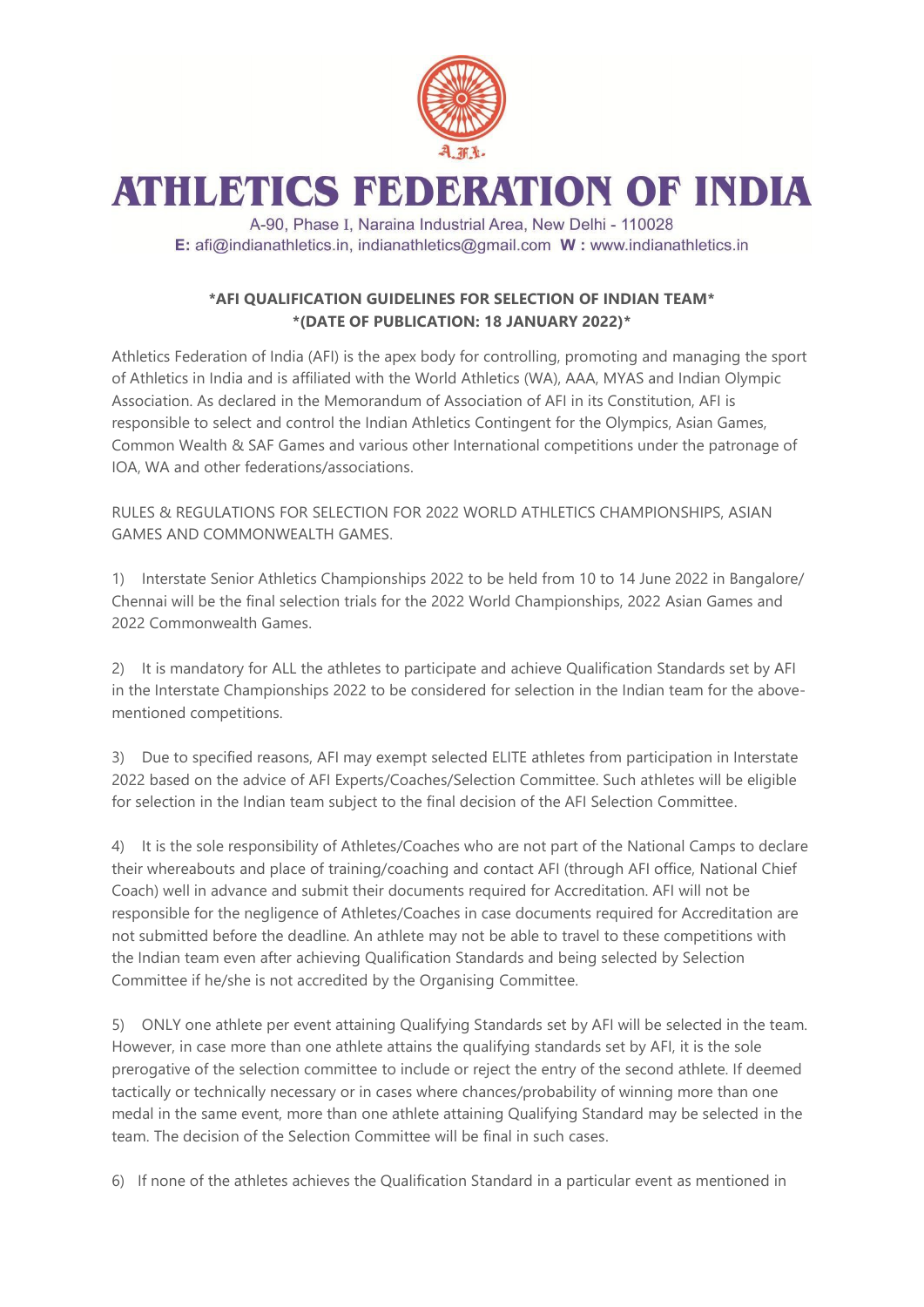

## ATHLETICS FEDERATION OF INDIA

A-90, Phase I, Naraina Industrial Area, New Delhi - 110028 E: afi@indianathletics.in, indianathletics@gmail.com W: www.indianathletics.in

## **\*AFI QUALIFICATION GUIDELINES FOR SELECTION OF INDIAN TEAM\* \*(DATE OF PUBLICATION: 18 JANUARY 2022)\***

Athletics Federation of India (AFI) is the apex body for controlling, promoting and managing the sport of Athletics in India and is affiliated with the World Athletics (WA), AAA, MYAS and Indian Olympic Association. As declared in the Memorandum of Association of AFI in its Constitution, AFI is responsible to select and control the Indian Athletics Contingent for the Olympics, Asian Games, Common Wealth & SAF Games and various other International competitions under the patronage of IOA, WA and other federations/associations.

RULES & REGULATIONS FOR SELECTION FOR 2022 WORLD ATHLETICS CHAMPIONSHIPS, ASIAN GAMES AND COMMONWEALTH GAMES.

1) Interstate Senior Athletics Championships 2022 to be held from 10 to 14 June 2022 in Bangalore/ Chennai will be the final selection trials for the 2022 World Championships, 2022 Asian Games and 2022 Commonwealth Games

2) It is mandatory for ALL the athletes to participate and achieve Qualification Standards set by AFI in the Interstate Championships 2022 to be considered for selection in the Indian team for the abovementioned competitions.

3) Due to specified reasons, AFI may exempt selected ELITE athletes from participation in Interstate 2022 based on the advice of AFI Experts/Coaches/Selection Committee. Such athletes will be eligible for selection in the Indian team subject to the final decision of the AFI Selection Committee.

4) It is the sole responsibility of Athletes/Coaches who are not part of the National Camps to declare their whereabouts and place of training/coaching and contact AFI (through AFI office, National Chief Coach) well in advance and submit their documents required for Accreditation. AFI will not be responsible for the negligence of Athletes/Coaches in case documents required for Accreditation are not submitted before the deadline. An athlete may not be able to travel to these competitions with the Indian team even after achieving Qualification Standards and being selected by Selection Committee if he/she is not accredited by the Organising Committee.

5) ONLY one athlete per event attaining Qualifying Standards set by AFI will be selected in the team. However, in case more than one athlete attains the qualifying standards set by AFI, it is the sole prerogative of the selection committee to include or reject the entry of the second athlete. If deemed tactically or technically necessary or in cases where chances/probability of winning more than one medal in the same event, more than one athlete attaining Qualifying Standard may be selected in the team. The decision of the Selection Committee will be final in such cases.

6) If none of the athletes achieves the Qualification Standard in a particular event as mentioned in